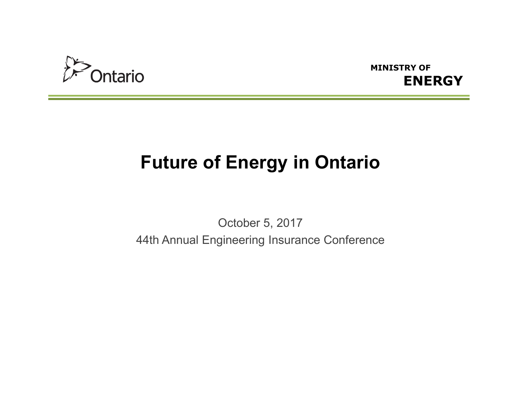



## **Future of Energy in Ontario**

October 5, 201744th Annual Engineering Insurance Conference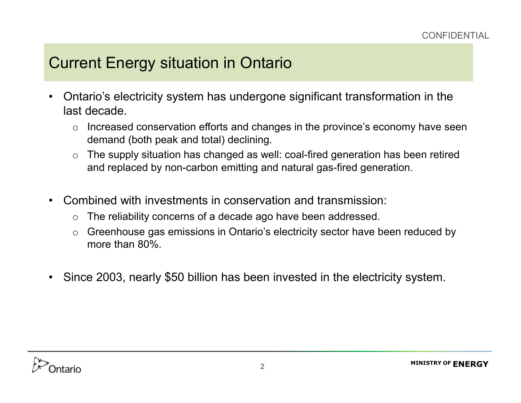- • Ontario's electricity system has undergone significant transformation in the last decade.
	- o Increased conservation efforts and changes in the province's economy have seen demand (both peak and total) declining.
	- o The supply situation has changed as well: coal-fired generation has been retired and replaced by non-carbon emitting and natural gas-fired generation.
- $\bullet$  Combined with investments in conservation and transmission:
	- oThe reliability concerns of a decade ago have been addressed.
	- o Greenhouse gas emissions in Ontario's electricity sector have been reduced by more than 80%.
- •Since 2003, nearly \$50 billion has been invested in the electricity system.

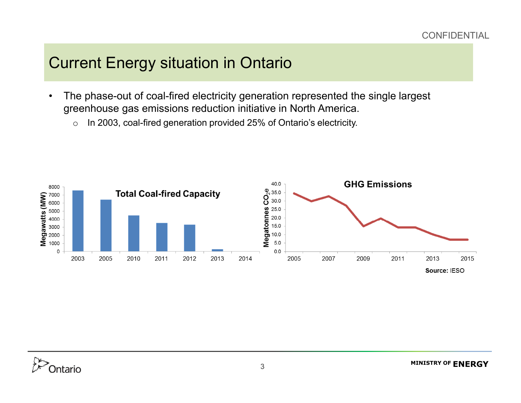- $\bullet$  The phase-out of coal-fired electricity generation represented the single largest greenhouse gas emissions reduction initiative in North America.
	- oIn 2003, coal-fired generation provided 25% of Ontario's electricity.

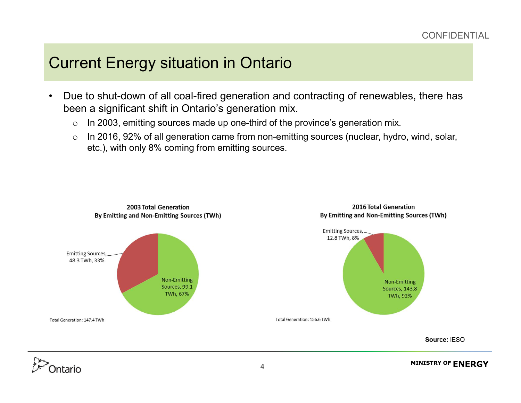- $\bullet$  Due to shut-down of all coal-fired generation and contracting of renewables, there has been a significant shift in Ontario's generation mix.
	- oIn 2003, emitting sources made up one-third of the province's generation mix.
	- o In 2016, 92% of all generation came from non-emitting sources (nuclear, hydro, wind, solar, etc.), with only 8% coming from emitting sources.





ntario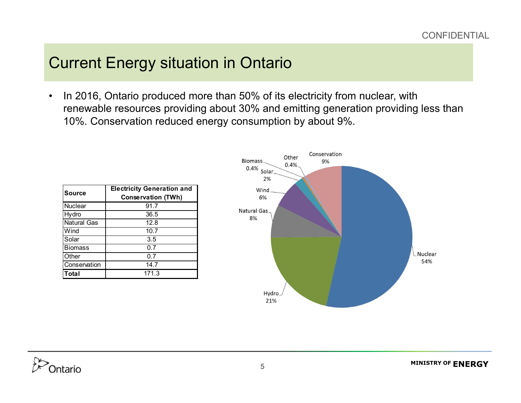$\bullet$  In 2016, Ontario produced more than 50% of its electricity from nuclear, with renewable resources providing about 30% and emitting generation providing less than 10%. Conservation reduced energy consumption by about 9%.

| Source             | <b>Electricity Generation and</b><br><b>Conservation (TWh)</b> |
|--------------------|----------------------------------------------------------------|
| Nuclear            | 91.7                                                           |
| Hydro              | 36.5                                                           |
| <b>Natural Gas</b> | 12.8                                                           |
| Wind               | 10.7                                                           |
| Solar              | 3.5                                                            |
| <b>Biomass</b>     | 0.7                                                            |
| Other              | 0.7                                                            |
| Conservation       | 14.7                                                           |
| <b>Total</b>       | 171.3                                                          |



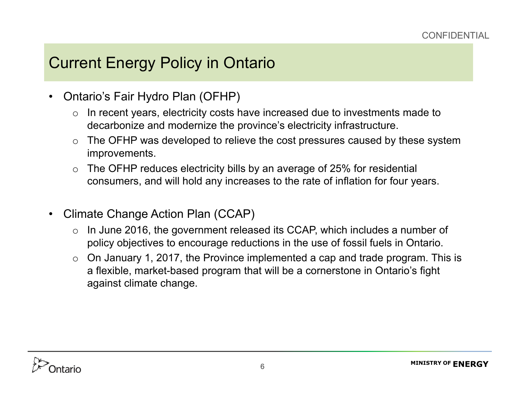## Current Energy Policy in Ontario

- • Ontario's Fair Hydro Plan (OFHP)
	- o In recent years, electricity costs have increased due to investments made to decarbonize and modernize the province's electricity infrastructure.
	- o The OFHP was developed to relieve the cost pressures caused by these system improvements.
	- o The OFHP reduces electricity bills by an average of 25% for residential consumers, and will hold any increases to the rate of inflation for four years.
- $\bullet$  Climate Change Action Plan (CCAP)
	- o In June 2016, the government released its CCAP, which includes a number of policy objectives to encourage reductions in the use of fossil fuels in Ontario.
	- $\circ$  On January 1, 2017, the Province implemented a cap and trade program. This is a flexible, market-based program that will be a cornerstone in Ontario's fight against climate change.

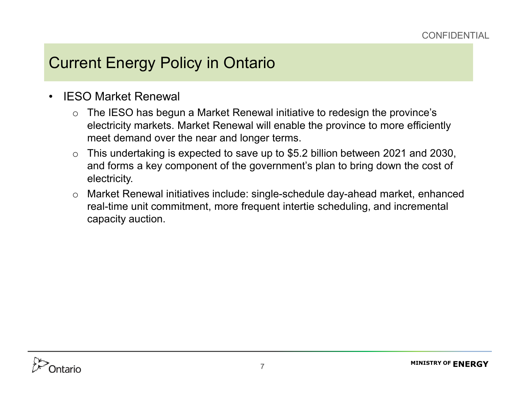## Current Energy Policy in Ontario

- • IESO Market Renewal
	- o The IESO has begun a Market Renewal initiative to redesign the province's electricity markets. Market Renewal will enable the province to more efficiently meet demand over the near and longer terms.
	- o This undertaking is expected to save up to \$5.2 billion between 2021 and 2030, and forms a key component of the government's plan to bring down the cost of electricity.
	- o Market Renewal initiatives include: single-schedule day-ahead market, enhanced real-time unit commitment, more frequent intertie scheduling, and incremental capacity auction.

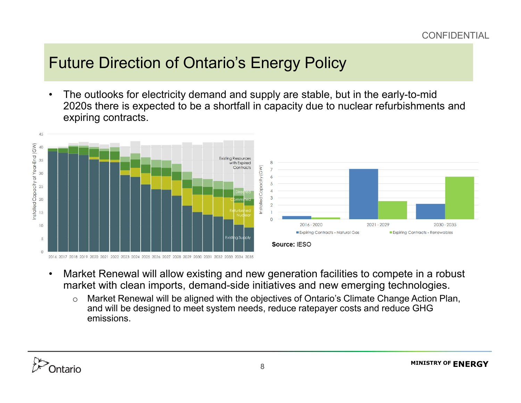## Future Direction of Ontario's Energy Policy

• The outlooks for electricity demand and supply are stable, but in the early-to-mid 2020s there is expected to be a shortfall in capacity due to nuclear refurbishments and expiring contracts.



- • Market Renewal will allow existing and new generation facilities to compete in a robust market with clean imports, demand-side initiatives and new emerging technologies.
	- o Market Renewal will be aligned with the objectives of Ontario's Climate Change Action Plan, and will be designed to meet system needs, reduce ratepayer costs and reduce GHG emissions.

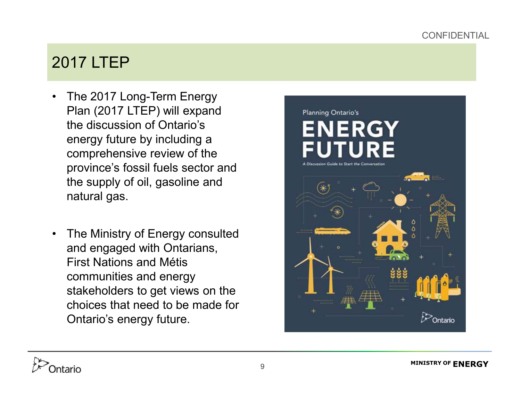## 2017 LTEP

- $\bullet$  The 2017 Long-Term Energy Plan (2017 LTEP) will expand the discussion of Ontario's energy future by including a comprehensive review of the province's fossil fuels sector and the supply of oil, gasoline and natural gas.
- $\bullet$  The Ministry of Energy consulted and engaged with Ontarians, First Nations and Métis communities and energy stakeholders to get views on the choices that need to be made for Ontario's energy future.



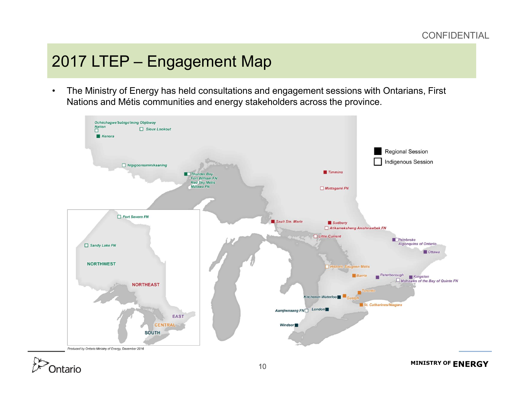## 2017 LTEP – Engagement Map

• The Ministry of Energy has held consultations and engagement sessions with Ontarians, First Nations and Métis communities and energy stakeholders across the province.

![](_page_9_Figure_3.jpeg)

![](_page_9_Picture_4.jpeg)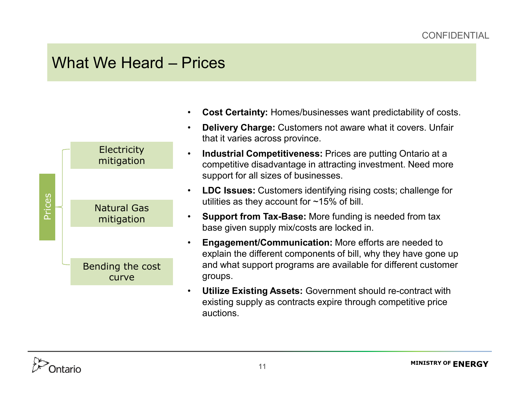#### What We Heard – Prices

![](_page_10_Figure_2.jpeg)

- •**Cost Certainty:** Homes/businesses want predictability of costs.
- • **Delivery Charge:** Customers not aware what it covers. Unfair that it varies across province.
- • **Industrial Competitiveness:** Prices are putting Ontario at a competitive disadvantage in attracting investment. Need more support for all sizes of businesses.
- • **LDC Issues:** Customers identifying rising costs; challenge for utilities as they account for ~15% of bill.
- • **Support from Tax-Base:** More funding is needed from tax base given supply mix/costs are locked in.
- • **Engagement/Communication:** More efforts are needed to explain the different components of bill, why they have gone up and what support programs are available for different customer groups.
- • **Utilize Existing Assets:** Government should re-contract with existing supply as contracts expire through competitive price auctions.

![](_page_10_Picture_10.jpeg)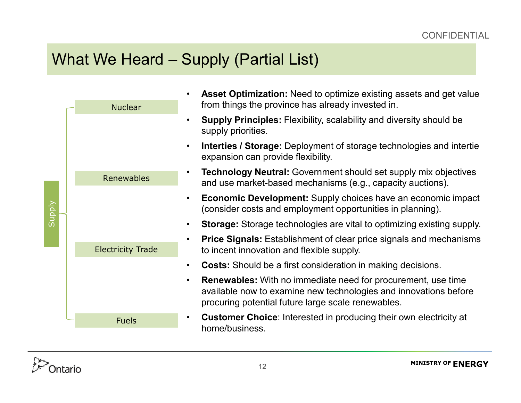## What We Heard – Supply (Partial List)

| Supply | <b>Nuclear</b>           |           | <b>Asset Optimization:</b> Need to optimize existing assets and get value<br>from things the province has already invested in.                                                                |
|--------|--------------------------|-----------|-----------------------------------------------------------------------------------------------------------------------------------------------------------------------------------------------|
|        |                          | $\bullet$ | <b>Supply Principles:</b> Flexibility, scalability and diversity should be<br>supply priorities.                                                                                              |
|        |                          | $\bullet$ | <b>Interties / Storage:</b> Deployment of storage technologies and intertie<br>expansion can provide flexibility.                                                                             |
|        | Renewables               |           | <b>Technology Neutral:</b> Government should set supply mix objectives<br>and use market-based mechanisms (e.g., capacity auctions).                                                          |
|        |                          | $\bullet$ | <b>Economic Development:</b> Supply choices have an economic impact<br>(consider costs and employment opportunities in planning).                                                             |
|        |                          | $\bullet$ | <b>Storage:</b> Storage technologies are vital to optimizing existing supply.                                                                                                                 |
|        | <b>Electricity Trade</b> |           | <b>Price Signals:</b> Establishment of clear price signals and mechanisms<br>to incent innovation and flexible supply.                                                                        |
|        |                          |           | <b>Costs:</b> Should be a first consideration in making decisions.                                                                                                                            |
|        |                          | $\bullet$ | <b>Renewables:</b> With no immediate need for procurement, use time<br>available now to examine new technologies and innovations before<br>procuring potential future large scale renewables. |
|        | <b>Fuels</b>             | $\bullet$ | <b>Customer Choice:</b> Interested in producing their own electricity at<br>home/business.                                                                                                    |
|        |                          |           |                                                                                                                                                                                               |

![](_page_11_Picture_3.jpeg)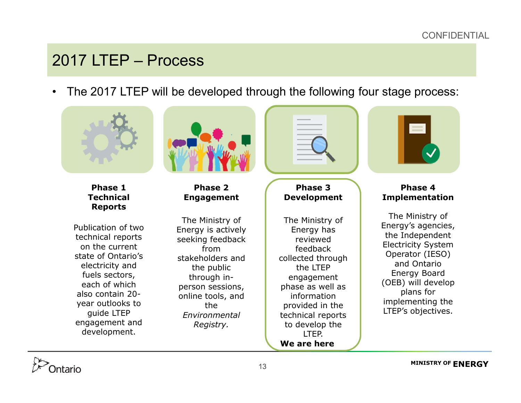## 2017 LTEP – Process

 $\bullet$ The 2017 LTEP will be developed through the following four stage process:

![](_page_12_Picture_3.jpeg)

![](_page_12_Picture_4.jpeg)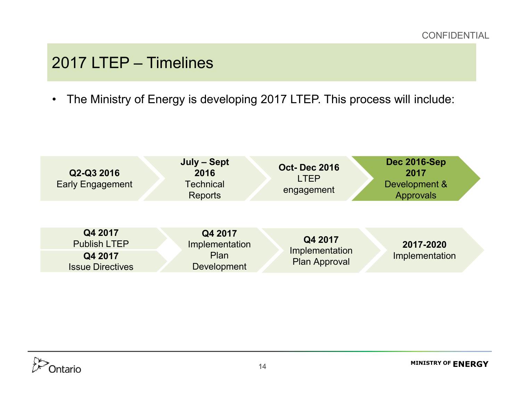## 2017 LTEP – Timelines

 $\bullet$ The Ministry of Energy is developing 2017 LTEP. This process will include:

![](_page_13_Figure_3.jpeg)

![](_page_13_Picture_4.jpeg)